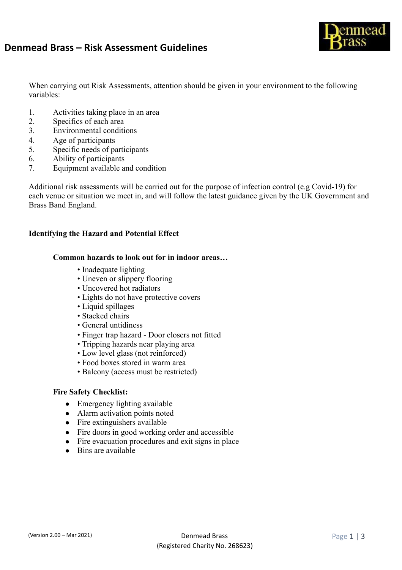# **Denmead Brass – Risk Assessment Guidelines**



When carrying out Risk Assessments, attention should be given in your environment to the following variables:

- 1. Activities taking place in an area
- 2. Specifics of each area
- 3. Environmental conditions
- 4. Age of participants
- 5. Specific needs of participants
- 6. Ability of participants
- 7. Equipment available and condition

Additional risk assessments will be carried out for the purpose of infection control (e.g Covid-19) for each venue or situation we meet in, and will follow the latest guidance given by the UK Government and Brass Band England.

### **Identifying the Hazard and Potential Effect**

#### **Common hazards to look out for in indoor areas…**

- Inadequate lighting
- Uneven or slippery flooring
- Uncovered hot radiators
- Lights do not have protective covers
- Liquid spillages
- Stacked chairs
- General untidiness
- Finger trap hazard Door closers not fitted
- Tripping hazards near playing area
- Low level glass (not reinforced)
- Food boxes stored in warm area
- Balcony (access must be restricted)

#### **Fire Safety Checklist:**

- Emergency lighting available
- Alarm activation points noted
- Fire extinguishers available
- Fire doors in good working order and accessible
- Fire evacuation procedures and exit signs in place
- Bins are available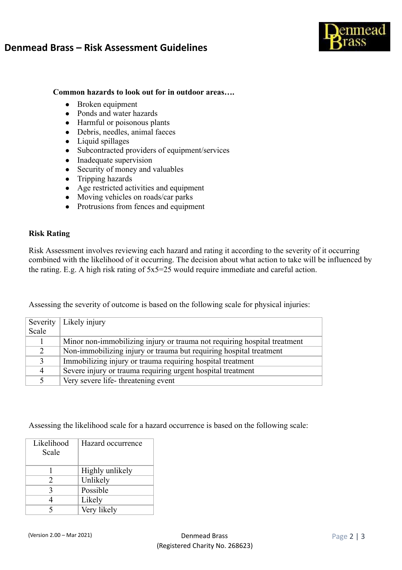# **Denmead Brass – Risk Assessment Guidelines**



## **Common hazards to look out for in outdoor areas….**

- Broken equipment
- Ponds and water hazards
- Harmful or poisonous plants
- Debris, needles, animal faeces
- Liquid spillages
- Subcontracted providers of equipment/services
- Inadequate supervision
- Security of money and valuables
- Tripping hazards
- Age restricted activities and equipment
- Moving vehicles on roads/car parks
- Protrusions from fences and equipment

### **Risk Rating**

Risk Assessment involves reviewing each hazard and rating it according to the severity of it occurring combined with the likelihood of it occurring. The decision about what action to take will be influenced by the rating. E.g. A high risk rating of 5x5=25 would require immediate and careful action.

Assessing the severity of outcome is based on the following scale for physical injuries:

|               | Severity   Likely injury                                                 |
|---------------|--------------------------------------------------------------------------|
| Scale         |                                                                          |
|               | Minor non-immobilizing injury or trauma not requiring hospital treatment |
|               | Non-immobilizing injury or trauma but requiring hospital treatment       |
| $\mathcal{F}$ | Immobilizing injury or trauma requiring hospital treatment               |
| 4             | Severe injury or trauma requiring urgent hospital treatment              |
|               | Very severe life-threatening event                                       |

Assessing the likelihood scale for a hazard occurrence is based on the following scale:

| Likelihood<br>Scale | Hazard occurrence |
|---------------------|-------------------|
|                     | Highly unlikely   |
| 2                   | Unlikely          |
| 3                   | Possible          |
|                     | Likely            |
|                     | Very likely       |